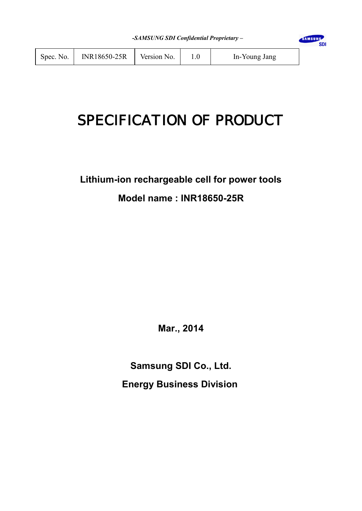**SDI** 

# SPECIFICATION OF PRODUCT

# **Lithium-ion rechargeable cell for power tools Model name : INR18650-25R**

**Mar., 2014**

**Samsung SDI Co., Ltd. Energy Business Division**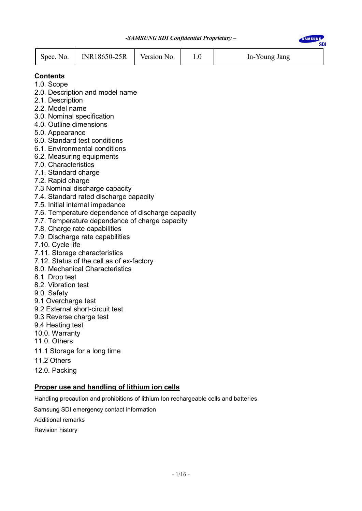**SDI** 



#### **Contents**

- 1.0. Scope
- 2.0. Description and model name
- 2.1. Description
- 2.2. Model name
- 3.0. Nominal specification
- 4.0. Outline dimensions
- 5.0. Appearance
- 6.0. Standard test conditions
- 6.1. Environmental conditions
- 6.2. Measuring equipments
- 7.0. Characteristics
- 7.1. Standard charge
- 7.2. Rapid charge
- 7.3 Nominal discharge capacity
- 7.4. Standard rated discharge capacity
- 7.5. Initial internal impedance
- 7.6. Temperature dependence of discharge capacity
- 7.7. Temperature dependence of charge capacity
- 7.8. Charge rate capabilities
- 7.9. Discharge rate capabilities
- 7.10. Cycle life
- 7.11. Storage characteristics
- 7.12. Status of the cell as of ex-factory
- 8.0. Mechanical Characteristics
- 8.1. Drop test
- 8.2. Vibration test
- 9.0. Safety
- 9.1 Overcharge test
- 9.2 External short-circuit test
- 9.3 Reverse charge test
- 9.4 Heating test
- 10.0. Warranty
- 11.0. Others
- 11.1 Storage for a long time
- 11.2 Others
- 12.0. Packing

#### **Proper use and handling of lithium ion cells**

Handling precaution and prohibitions of lithium Ion rechargeable cells and batteries

Samsung SDI emergency contact information

Additional remarks

Revision history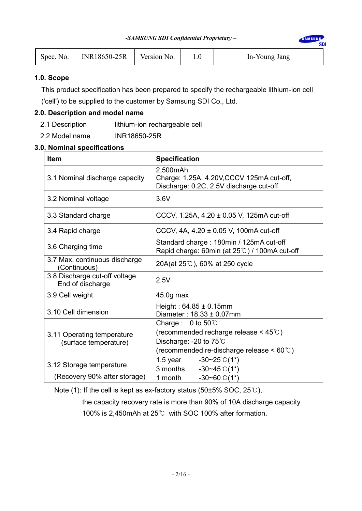**SDI** 

| Spec. No. | <b>INR18650-25R</b> | Version No. |  | In-Young Jang |
|-----------|---------------------|-------------|--|---------------|
|-----------|---------------------|-------------|--|---------------|

#### **1.0. Scope**

This product specification has been prepared to specify the rechargeable lithium-ion cell

('cell') to be supplied to the customer by Samsung SDI Co., Ltd.

#### **2.0. Description and model name**

- 2.1 Description lithium-ion rechargeable cell
- 2.2 Model name INR18650-25R

#### **3.0. Nominal specifications**

| <b>Item</b>                                       | <b>Specification</b>                                                                              |
|---------------------------------------------------|---------------------------------------------------------------------------------------------------|
| 3.1 Nominal discharge capacity                    | 2,500mAh<br>Charge: 1.25A, 4.20V, CCCV 125mA cut-off,<br>Discharge: 0.2C, 2.5V discharge cut-off  |
| 3.2 Nominal voltage                               | 3.6V                                                                                              |
| 3.3 Standard charge                               | CCCV, 1.25A, $4.20 \pm 0.05$ V, 125mA cut-off                                                     |
| 3.4 Rapid charge                                  | CCCV, 4A, 4.20 ± 0.05 V, 100mA cut-off                                                            |
| 3.6 Charging time                                 | Standard charge: 180min / 125mA cut-off<br>Rapid charge: 60min (at $25^{\circ}$ ) / 100mA cut-off |
| 3.7 Max. continuous discharge<br>(Continuous)     | 20A(at 25°C), 60% at 250 cycle                                                                    |
| 3.8 Discharge cut-off voltage<br>End of discharge | 2.5V                                                                                              |
| 3.9 Cell weight                                   | 45.0g max                                                                                         |
| 3.10 Cell dimension                               | Height: $64.85 \pm 0.15$ mm<br>Diameter: $18.33 \pm 0.07$ mm                                      |
|                                                   | Charge: $0$ to $50^{\circ}$ C                                                                     |
| 3.11 Operating temperature                        | (recommended recharge release $<$ 45 $\degree$ C)                                                 |
| (surface temperature)                             | Discharge: -20 to $75^{\circ}$ C                                                                  |
|                                                   | (recommended re-discharge release $\leq 60^{\circ}$ C)                                            |
|                                                   | $-30 \sim 25 \degree$ (1*)<br>1.5 year                                                            |
| 3.12 Storage temperature                          | $-30 - 45$ °C(1*)<br>3 months                                                                     |
| (Recovery 90% after storage)                      | $-30 - 60$ °C(1*)<br>1 month                                                                      |

Note (1): If the cell is kept as ex-factory status (50±5% SOC, 25℃),

 the capacity recovery rate is more than 90% of 10A discharge capacity 100% is 2,450mAh at 25℃ with SOC 100% after formation.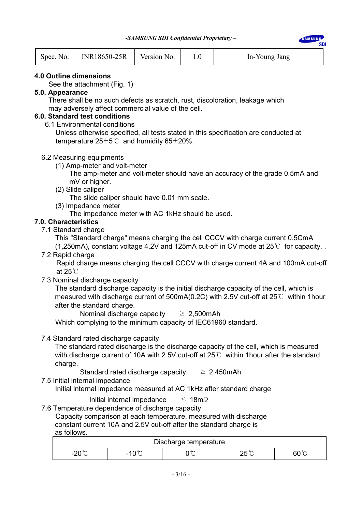**SDI** 

| Spec. No. | INR18650-25R | Version No. |  | In-Young Jang |
|-----------|--------------|-------------|--|---------------|
|-----------|--------------|-------------|--|---------------|

#### **4.0 Outline dimensions**

See the attachment (Fig. 1)

#### **5.0. Appearance**

 There shall be no such defects as scratch, rust, discoloration, leakage which may adversely affect commercial value of the cell.

# **6.0. Standard test conditions**

6.1 Environmental conditions

 Unless otherwise specified, all tests stated in this specification are conducted at temperature  $25±5^{\circ}$  and humidity  $65±20\%$ .

#### 6.2 Measuring equipments

(1) Amp-meter and volt-meter

 The amp-meter and volt-meter should have an accuracy of the grade 0.5mA and mV or higher.

(2) Slide caliper

The slide caliper should have 0.01 mm scale.

(3) Impedance meter

The impedance meter with AC 1kHz should be used.

#### **7.0. Characteristics**

7.1 Standard charge

This "Standard charge" means charging the cell CCCV with charge current 0.5CmA

(1,250mA), constant voltage 4.2V and 125mA cut-off in CV mode at 25℃ for capacity. .

7.2 Rapid charge

 Rapid charge means charging the cell CCCV with charge current 4A and 100mA cut-off at 25℃

7.3 Nominal discharge capacity

 The standard discharge capacity is the initial discharge capacity of the cell, which is measured with discharge current of 500mA(0.2C) with 2.5V cut-off at 25℃ within 1hour after the standard charge.

Nominal discharge capacity  $\geq 2,500$ mAh

Which complying to the minimum capacity of IEC61960 standard.

#### 7.4 Standard rated discharge capacity

The standard rated discharge is the discharge capacity of the cell, which is measured with discharge current of 10A with 2.5V cut-off at 25℃ within 1 hour after the standard charge.

Standard rated discharge capacity  $\geq 2,450$ mAh

7.5 Initial internal impedance

Initial internal impedance measured at AC 1kHz after standard charge

Initial internal impedance  $\leq 18 \text{ m}\Omega$ 

7.6 Temperature dependence of discharge capacity Capacity comparison at each temperature, measured with discharge constant current 10A and 2.5V cut-off after the standard charge is

as follows.

| Discharge temperature |                 |          |              |              |  |  |
|-----------------------|-----------------|----------|--------------|--------------|--|--|
| ດ∩°∩<br>⊃ ט∠-         | $-10^{\circ}$ C | ົື<br>◡◡ | າ⊼°∩<br>∠∪ ⊘ | $60^{\circ}$ |  |  |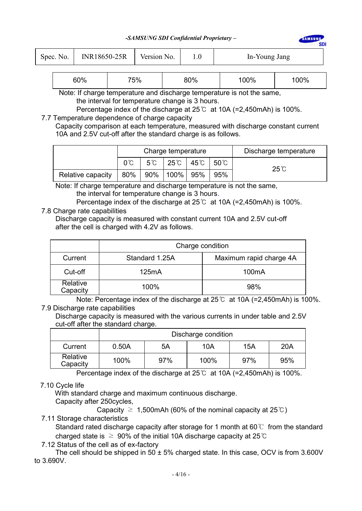#### *-SAMSUNG SDI Confidential Proprietary –*

**AMSUN** 

sni

| Spec. No. | INR18650-25R | Version No. |  | In-Young Jang |
|-----------|--------------|-------------|--|---------------|
|-----------|--------------|-------------|--|---------------|

| 60% | 75% | 80% | 00% | 00% |
|-----|-----|-----|-----|-----|
|-----|-----|-----|-----|-----|

Note: If charge temperature and discharge temperature is not the same. the interval for temperature change is 3 hours.

Percentage index of the discharge at 25℃ at 10A (=2,450mAh) is 100%.

#### 7.7 Temperature dependence of charge capacity

 Capacity comparison at each temperature, measured with discharge constant current 10A and 2.5V cut-off after the standard charge is as follows.

|                   |     |    | Charge temperature |                 | Discharge temperature |                |
|-------------------|-----|----|--------------------|-----------------|-----------------------|----------------|
|                   |     | 5℃ |                    | 25℃   45℃   50℃ |                       | $25^{\circ}$ C |
| Relative capacity | 80% |    | 90%   100%   95%   |                 | 95%                   |                |

 Note: If charge temperature and discharge temperature is not the same, the interval for temperature change is 3 hours.

Percentage index of the discharge at 25℃ at 10A (=2,450mAh) is 100%. 7.8 Charge rate capabilities

Discharge capacity is measured with constant current 10A and 2.5V cut-off after the cell is charged with 4.2V as follows.

|                      | Charge condition |                         |  |  |  |
|----------------------|------------------|-------------------------|--|--|--|
| Current              | Standard 1.25A   | Maximum rapid charge 4A |  |  |  |
| Cut-off              | 125mA            | 100 <sub>m</sub> A      |  |  |  |
| Relative<br>Capacity | 100%             | 98%                     |  |  |  |

Note: Percentage index of the discharge at 25℃ at 10A (=2,450mAh) is 100%. 7.9 Discharge rate capabilities

Discharge capacity is measured with the various currents in under table and 2.5V cut-off after the standard charge.

|                      | Discharge condition |     |      |     |     |  |
|----------------------|---------------------|-----|------|-----|-----|--|
| Current              | 0.50A               | 5A  | 10A  | 15A | 20A |  |
| Relative<br>Capacity | 100%                | 97% | 100% | 97% | 95% |  |

Percentage index of the discharge at 25℃ at 10A (=2,450mAh) is 100%.

## 7.10 Cycle life

With standard charge and maximum continuous discharge.

Capacity after 250cycles,

Capacity  $\geq 1.500$ mAh (60% of the nominal capacity at 25 °C)

7.11 Storage characteristics

Standard rated discharge capacity after storage for 1 month at 60  $\degree$  from the standard charged state is  $\geq 90\%$  of the initial 10A discharge capacity at 25 °C

7.12 Status of the cell as of ex-factory

The cell should be shipped in 50  $\pm$  5% charged state. In this case, OCV is from 3.600V to 3.690V.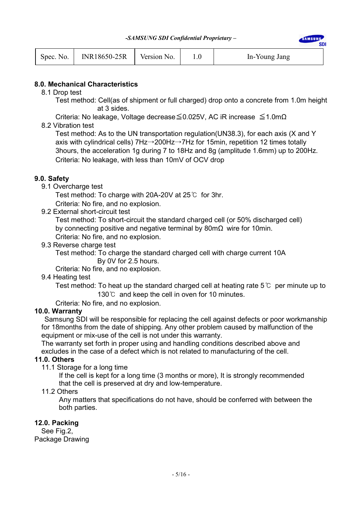| Spec. No. | INR18650-25R | Version No. |  | In-Young Jang |
|-----------|--------------|-------------|--|---------------|
|-----------|--------------|-------------|--|---------------|

#### **8.0. Mechanical Characteristics**

8.1 Drop test

Test method: Cell(as of shipment or full charged) drop onto a concrete from 1.0m height at 3 sides.

SAMSUNG

sni

Criteria: No leakage, Voltage decrease≦0.025V, AC iR increase ≦1.0mΩ

8.2 Vibration test

Test method: As to the UN transportation regulation(UN38.3), for each axis (X and Y axis with cylindrical cells) 7Hz→200Hz→7Hz for 15min, repetition 12 times totally 3hours, the acceleration 1g during 7 to 18Hz and 8g (amplitude 1.6mm) up to 200Hz. Criteria: No leakage, with less than 10mV of OCV drop

#### **9.0. Safety**

9.1 Overcharge test

Test method: To charge with 20A-20V at 25℃ for 3hr.

Criteria: No fire, and no explosion.

9.2 External short-circuit test

Test method: To short-circuit the standard charged cell (or 50% discharged cell) by connecting positive and negative terminal by 80mΩ wire for 10min. Criteria: No fire, and no explosion.

9.3 Reverse charge test

Test method: To charge the standard charged cell with charge current 10A By 0V for 2.5 hours.

Criteria: No fire, and no explosion.

#### 9.4 Heating test

Test method: To heat up the standard charged cell at heating rate 5  $\degree$  per minute up to 130℃ and keep the cell in oven for 10 minutes.

Criteria: No fire, and no explosion.

#### **10.0. Warranty**

Samsung SDI will be responsible for replacing the cell against defects or poor workmanship for 18months from the date of shipping. Any other problem caused by malfunction of the equipment or mix-use of the cell is not under this warranty.

The warranty set forth in proper using and handling conditions described above and excludes in the case of a defect which is not related to manufacturing of the cell.

#### **11.0. Others**

11.1 Storage for a long time

 If the cell is kept for a long time (3 months or more), It is strongly recommended that the cell is preserved at dry and low-temperature.

11.2 Others

 Any matters that specifications do not have, should be conferred with between the both parties.

#### **12.0. Packing**

See Fig.2, Package Drawing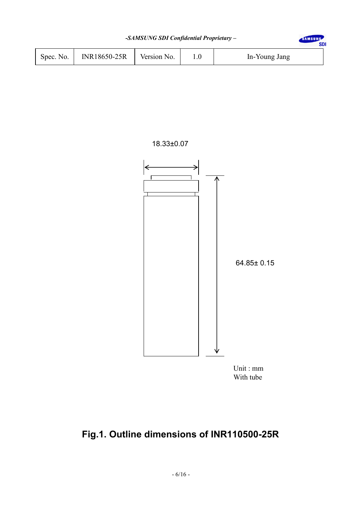| -SAMSUNG SDI Confidential Proprietary - |              |             |  |               |  |  |
|-----------------------------------------|--------------|-------------|--|---------------|--|--|
| Spec. No.                               | INR18650-25R | Version No. |  | In-Young Jang |  |  |





Unit : mm With tube

# **Fig.1. Outline dimensions of INR110500-25R**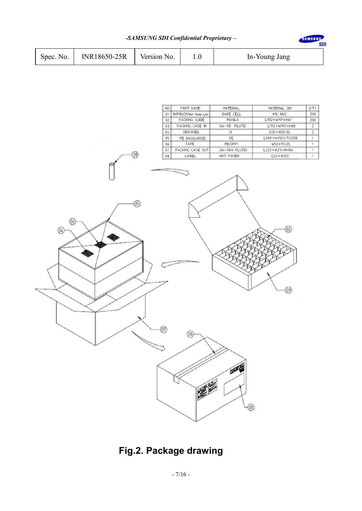|                       |              |             |               | <b>SDI</b> |
|-----------------------|--------------|-------------|---------------|------------|
| Spec. No. $\parallel$ | INR18650-25R | Version No. | In-Young Jang |            |



# **Fig.2. Package drawing**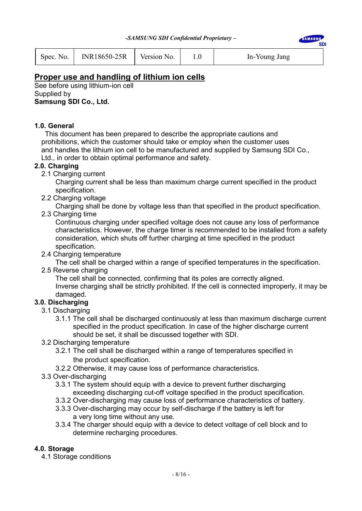**AMSUN SDI** 

| Spec. No. | INR18650-25R | Version No. |  | In-Young Jang |
|-----------|--------------|-------------|--|---------------|
|-----------|--------------|-------------|--|---------------|

# **Proper use and handling of lithium ion cells**

See before using lithium-ion cell Supplied by **Samsung SDI Co., Ltd.** 

#### **1.0. General**

 This document has been prepared to describe the appropriate cautions and prohibitions, which the customer should take or employ when the customer uses and handles the lithium ion cell to be manufactured and supplied by Samsung SDI Co., Ltd., in order to obtain optimal performance and safety.

#### **2.0. Charging**

2.1 Charging current

 Charging current shall be less than maximum charge current specified in the product specification.

2.2 Charging voltage

Charging shall be done by voltage less than that specified in the product specification.

2.3 Charging time

 Continuous charging under specified voltage does not cause any loss of performance characteristics. However, the charge timer is recommended to be installed from a safety consideration, which shuts off further charging at time specified in the product specification.

2.4 Charging temperature

The cell shall be charged within a range of specified temperatures in the specification.

2.5 Reverse charging

 The cell shall be connected, confirming that its poles are correctly aligned. Inverse charging shall be strictly prohibited. If the cell is connected improperly, it may be damaged.

## **3.0. Discharging**

- 3.1 Discharging
	- 3.1.1 The cell shall be discharged continuously at less than maximum discharge current specified in the product specification. In case of the higher discharge current should be set, it shall be discussed together with SDI.
- 3.2 Discharging temperature
	- 3.2.1 The cell shall be discharged within a range of temperatures specified in the product specification.
	- 3.2.2 Otherwise, it may cause loss of performance characteristics.
- 3.3 Over-discharging
	- 3.3.1 The system should equip with a device to prevent further discharging exceeding discharging cut-off voltage specified in the product specification.
	- 3.3.2 Over-discharging may cause loss of performance characteristics of battery.
	- 3.3.3 Over-discharging may occur by self-discharge if the battery is left for a very long time without any use.
	- 3.3.4 The charger should equip with a device to detect voltage of cell block and to determine recharging procedures.

#### **4.0. Storage**

4.1 Storage conditions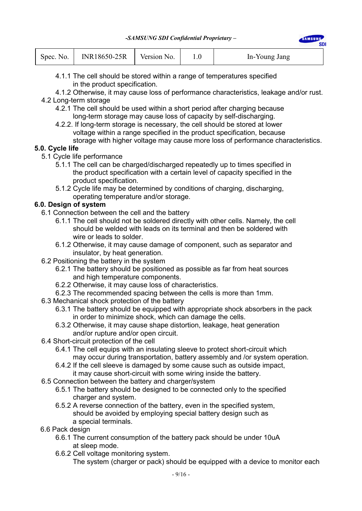**AMSHA** 

| Spec. No. | INR18650-25R | Version No. |  | In-Young Jang |  |
|-----------|--------------|-------------|--|---------------|--|
|-----------|--------------|-------------|--|---------------|--|

- 4.1.1 The cell should be stored within a range of temperatures specified in the product specification.
- 4.1.2 Otherwise, it may cause loss of performance characteristics, leakage and/or rust.

## 4.2 Long-term storage

- 4.2.1 The cell should be used within a short period after charging because long-term storage may cause loss of capacity by self-discharging.
- 4.2.2. If long-term storage is necessary, the cell should be stored at lower voltage within a range specified in the product specification, because storage with higher voltage may cause more loss of performance characteristics.

# **5.0. Cycle life**

- 5.1 Cycle life performance
	- 5.1.1 The cell can be charged/discharged repeatedly up to times specified in the product specification with a certain level of capacity specified in the product specification.
	- 5.1.2 Cycle life may be determined by conditions of charging, discharging, operating temperature and/or storage.

## **6.0. Design of system**

- 6.1 Connection between the cell and the battery
	- 6.1.1 The cell should not be soldered directly with other cells. Namely, the cell should be welded with leads on its terminal and then be soldered with wire or leads to solder.
	- 6.1.2 Otherwise, it may cause damage of component, such as separator and insulator, by heat generation.
- 6.2 Positioning the battery in the system
	- 6.2.1 The battery should be positioned as possible as far from heat sources and high temperature components.
	- 6.2.2 Otherwise, it may cause loss of characteristics.
	- 6.2.3 The recommended spacing between the cells is more than 1mm.
- 6.3 Mechanical shock protection of the battery
	- 6.3.1 The battery should be equipped with appropriate shock absorbers in the pack in order to minimize shock, which can damage the cells.
	- 6.3.2 Otherwise, it may cause shape distortion, leakage, heat generation and/or rupture and/or open circuit.
- 6.4 Short-circuit protection of the cell
	- 6.4.1 The cell equips with an insulating sleeve to protect short-circuit which may occur during transportation, battery assembly and /or system operation.
	- 6.4.2 If the cell sleeve is damaged by some cause such as outside impact, it may cause short-circuit with some wiring inside the battery.
- 6.5 Connection between the battery and charger/system
	- 6.5.1 The battery should be designed to be connected only to the specified charger and system.
	- 6.5.2 A reverse connection of the battery, even in the specified system, should be avoided by employing special battery design such as a special terminals.
- 6.6 Pack design
	- 6.6.1 The current consumption of the battery pack should be under 10uA at sleep mode.
	- 6.6.2 Cell voltage monitoring system.

The system (charger or pack) should be equipped with a device to monitor each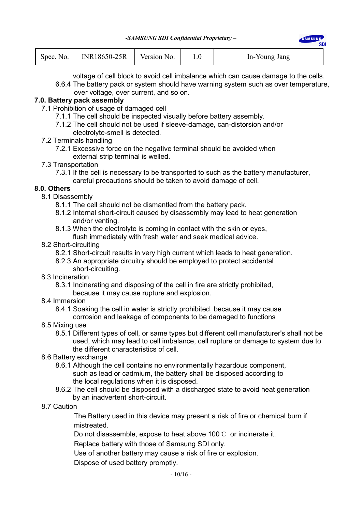| Spec. No. | INR18650-25R | Version No. |  | In-Young Jang |  |
|-----------|--------------|-------------|--|---------------|--|
|-----------|--------------|-------------|--|---------------|--|

voltage of cell block to avoid cell imbalance which can cause damage to the cells.

SAMSUN

sni

6.6.4 The battery pack or system should have warning system such as over temperature, over voltage, over current, and so on.

#### **7.0. Battery pack assembly**

- 7.1 Prohibition of usage of damaged cell
	- 7.1.1 The cell should be inspected visually before battery assembly.
	- 7.1.2 The cell should not be used if sleeve-damage, can-distorsion and/or
		- electrolyte-smell is detected.
- 7.2 Terminals handling
	- 7.2.1 Excessive force on the negative terminal should be avoided when external strip terminal is welled.
- 7.3 Transportation
	- 7.3.1 If the cell is necessary to be transported to such as the battery manufacturer, careful precautions should be taken to avoid damage of cell.

#### **8.0. Others**

- 8.1 Disassembly
	- 8.1.1 The cell should not be dismantled from the battery pack.
	- 8.1.2 Internal short-circuit caused by disassembly may lead to heat generation and/or venting.
	- 8.1.3 When the electrolyte is coming in contact with the skin or eyes, flush immediately with fresh water and seek medical advice.
- 8.2 Short-circuiting
	- 8.2.1 Short-circuit results in very high current which leads to heat generation.
	- 8.2.3 An appropriate circuitry should be employed to protect accidental short-circuiting.
- 8.3 Incineration
	- 8.3.1 Incinerating and disposing of the cell in fire are strictly prohibited,
		- because it may cause rupture and explosion.
- 8.4 Immersion
	- 8.4.1 Soaking the cell in water is strictly prohibited, because it may cause corrosion and leakage of components to be damaged to functions
- 8.5 Mixing use
	- 8.5.1 Different types of cell, or same types but different cell manufacturer's shall not be used, which may lead to cell imbalance, cell rupture or damage to system due to the different characteristics of cell.
- 8.6 Battery exchange
	- 8.6.1 Although the cell contains no environmentally hazardous component, such as lead or cadmium, the battery shall be disposed according to the local regulations when it is disposed.
	- 8.6.2 The cell should be disposed with a discharged state to avoid heat generation by an inadvertent short-circuit.
- 8.7 Caution

The Battery used in this device may present a risk of fire or chemical burn if mistreated.

Do not disassemble, expose to heat above 100℃ or incinerate it.

Replace battery with those of Samsung SDI only.

Use of another battery may cause a risk of fire or explosion.

Dispose of used battery promptly.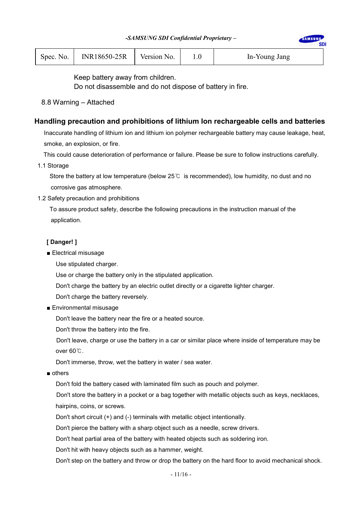| Spec. No. | INR18650-25R | Version No. |  | In-Young Jang |
|-----------|--------------|-------------|--|---------------|
|-----------|--------------|-------------|--|---------------|

Keep battery away from children.

Do not disassemble and do not dispose of battery in fire.

8.8 Warning – Attached

#### **Handling precaution and prohibitions of lithium Ion rechargeable cells and batteries**

Inaccurate handling of lithium ion and lithium ion polymer rechargeable battery may cause leakage, heat, smoke, an explosion, or fire.

This could cause deterioration of performance or failure. Please be sure to follow instructions carefully.

1.1 Storage

 Store the battery at low temperature (below 25℃ is recommended), low humidity, no dust and no corrosive gas atmosphere.

1.2 Safety precaution and prohibitions

 To assure product safety, describe the following precautions in the instruction manual of the application.

#### **[ Danger! ]**

■ Electrical misusage

Use stipulated charger.

Use or charge the battery only in the stipulated application.

Don't charge the battery by an electric outlet directly or a cigarette lighter charger.

Don't charge the battery reversely.

■ Environmental misusage

Don't leave the battery near the fire or a heated source.

Don't throw the battery into the fire.

Don't leave, charge or use the battery in a car or similar place where inside of temperature may be over 60℃.

Don't immerse, throw, wet the battery in water / sea water.

■ others

Don't fold the battery cased with laminated film such as pouch and polymer.

Don't store the battery in a pocket or a bag together with metallic objects such as keys, necklaces, hairpins, coins, or screws.

Don't short circuit (+) and (-) terminals with metallic object intentionally.

Don't pierce the battery with a sharp object such as a needle, screw drivers.

Don't heat partial area of the battery with heated objects such as soldering iron.

Don't hit with heavy objects such as a hammer, weight.

Don't step on the battery and throw or drop the battery on the hard floor to avoid mechanical shock.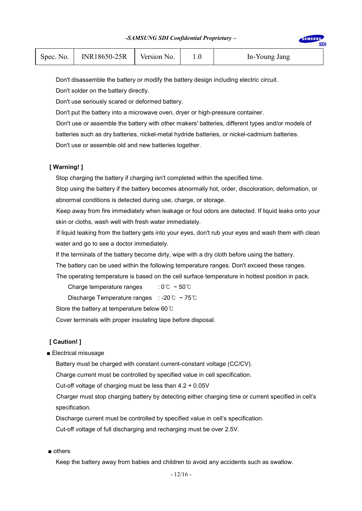| Spec. No. | $INR18650-25R$   Version No. |  |  | In-Young Jang |  |
|-----------|------------------------------|--|--|---------------|--|
|-----------|------------------------------|--|--|---------------|--|

Don't disassemble the battery or modify the battery design including electric circuit.

Don't solder on the battery directly.

Don't use seriously scared or deformed battery.

Don't put the battery into a microwave oven, dryer or high-pressure container.

Don't use or assemble the battery with other makers' batteries, different types and/or models of

batteries such as dry batteries, nickel-metal hydride batteries, or nickel-cadmium batteries.

Don't use or assemble old and new batteries together.

#### **[ Warning! ]**

Stop charging the battery if charging isn't completed within the specified time.

Stop using the battery if the battery becomes abnormally hot, order, discoloration, deformation, or abnormal conditions is detected during use, charge, or storage.

Keep away from fire immediately when leakage or foul odors are detected. If liquid leaks onto your skin or cloths, wash well with fresh water immediately.

If liquid leaking from the battery gets into your eyes, don't rub your eyes and wash them with clean water and go to see a doctor immediately.

If the terminals of the battery become dirty, wipe with a dry cloth before using the battery.

The battery can be used within the following temperature ranges. Don't exceed these ranges.

The operating temperature is based on the cell surface temperature in hottest position in pack.

Charge temperature ranges :  $0^{\circ}$  ~  $50^{\circ}$ 

Discharge Temperature ranges : -20℃ ~ 75℃

Store the battery at temperature below 60℃

Cover terminals with proper insulating tape before disposal.

#### **[ Caution! ]**

■ Electrical misusage

Battery must be charged with constant current-constant voltage (CC/CV).

Charge current must be controlled by specified value in cell specification.

Cut-off voltage of charging must be less than 4.2 + 0.05V

Charger must stop charging battery by detecting either charging time or current specified in cell's specification.

Discharge current must be controlled by specified value in cell's specification.

Cut-off voltage of full discharging and recharging must be over 2.5V.

■ others

Keep the battery away from babies and children to avoid any accidents such as swallow.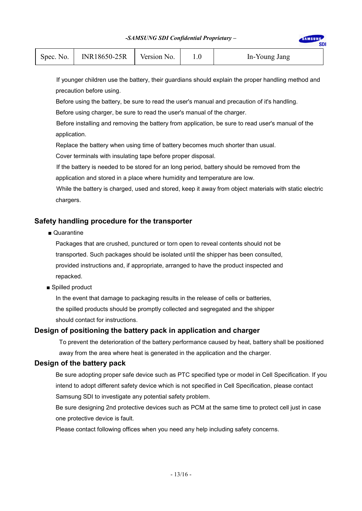#### *-SAMSUNG SDI Confidential Proprietary –*

| Spec. No.   INR18650-25R  <br>Version No. | In-Young Jang |
|-------------------------------------------|---------------|
|-------------------------------------------|---------------|

If younger children use the battery, their guardians should explain the proper handling method and precaution before using.

 Before using the battery, be sure to read the user's manual and precaution of it's handling. Before using charger, be sure to read the user's manual of the charger.

Before installing and removing the battery from application, be sure to read user's manual of the application.

Replace the battery when using time of battery becomes much shorter than usual.

Cover terminals with insulating tape before proper disposal.

If the battery is needed to be stored for an long period, battery should be removed from the application and stored in a place where humidity and temperature are low.

While the battery is charged, used and stored, keep it away from object materials with static electric chargers.

#### **Safety handling procedure for the transporter**

■ Quarantine

Packages that are crushed, punctured or torn open to reveal contents should not be transported. Such packages should be isolated until the shipper has been consulted, provided instructions and, if appropriate, arranged to have the product inspected and repacked.

■ Spilled product

In the event that damage to packaging results in the release of cells or batteries, the spilled products should be promptly collected and segregated and the shipper should contact for instructions.

#### **Design of positioning the battery pack in application and charger**

To prevent the deterioration of the battery performance caused by heat, battery shall be positioned away from the area where heat is generated in the application and the charger.

#### **Design of the battery pack**

Be sure adopting proper safe device such as PTC specified type or model in Cell Specification. If you intend to adopt different safety device which is not specified in Cell Specification, please contact Samsung SDI to investigate any potential safety problem.

Be sure designing 2nd protective devices such as PCM at the same time to protect cell just in case one protective device is fault.

Please contact following offices when you need any help including safety concerns.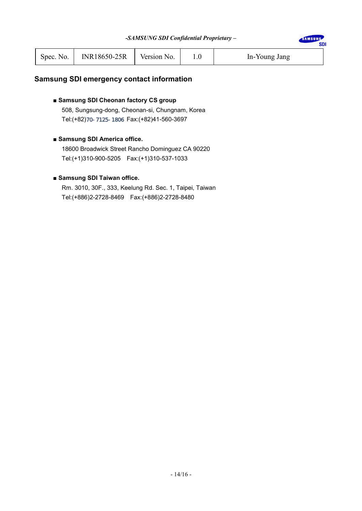**SDI** 

| Spec. No. | $INR18650-25R$ Version No. |  |  | In-Young Jang |
|-----------|----------------------------|--|--|---------------|
|-----------|----------------------------|--|--|---------------|

# **Samsung SDI emergency contact information**

#### ■ Samsung SDI Cheonan factory CS group

508, Sungsung-dong, Cheonan-si, Chungnam, Korea Tel:(+82)70-7125-1806 Fax:(+82)41-560-3697

#### ■ Samsung SDI America office.

18600 Broadwick Street Rancho Dominguez CA 90220 Tel:(+1)310-900-5205 Fax:(+1)310-537-1033

#### ■ Samsung SDI Taiwan office.

Rm. 3010, 30F., 333, Keelung Rd. Sec. 1, Taipei, Taiwan Tel:(+886)2-2728-8469 Fax:(+886)2-2728-8480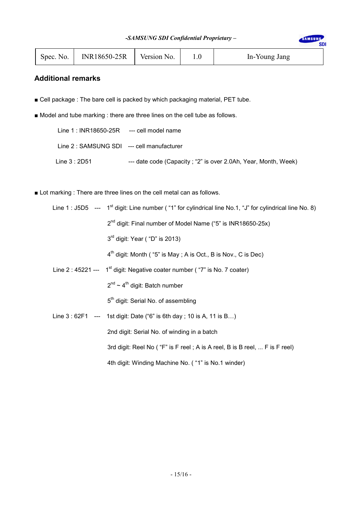**SDI** 

| Spec. No. | <b>INR18650-25R</b> | Version No. |  | In-Young Jang |
|-----------|---------------------|-------------|--|---------------|
|-----------|---------------------|-------------|--|---------------|

# **Additional remarks**

- Cell package : The bare cell is packed by which packaging material, PET tube.
- Model and tube marking : there are three lines on the cell tube as follows.

| Line $1: INR18650-25R$ --- cell model name |                                                                |
|--------------------------------------------|----------------------------------------------------------------|
| Line 2 : SAMSUNG SDI --- cell manufacturer |                                                                |
| Line $3:2D51$                              | --- date code (Capacity; "2" is over 2.0Ah, Year, Month, Week) |

■ Lot marking : There are three lines on the cell metal can as follows.

|  | Line 1 : J5D5 --- 1 <sup>st</sup> digit: Line number ("1" for cylindrical line No.1, "J" for cylindrical line No. 8) |
|--|----------------------------------------------------------------------------------------------------------------------|
|  | 2 <sup>nd</sup> digit: Final number of Model Name ("5" is INR18650-25x)                                              |
|  | $3rd$ digit: Year ("D" is 2013)                                                                                      |
|  | $4th$ digit: Month ("5" is May; A is Oct., B is Nov., C is Dec)                                                      |
|  | Line 2 : 45221 --- $1st$ digit: Negative coater number ("7" is No. 7 coater)                                         |
|  | $2^{nd}$ ~ 4 <sup>th</sup> digit: Batch number                                                                       |
|  | 5 <sup>th</sup> digit: Serial No. of assembling                                                                      |
|  | Line $3:62F1$ --- 1st digit: Date ("6" is 6th day; 10 is A, 11 is B)                                                 |
|  | 2nd digit: Serial No. of winding in a batch                                                                          |
|  | 3rd digit: Reel No ("F" is F reel; A is A reel, B is B reel,  F is F reel)                                           |
|  | 4th digit: Winding Machine No. ("1" is No.1 winder)                                                                  |